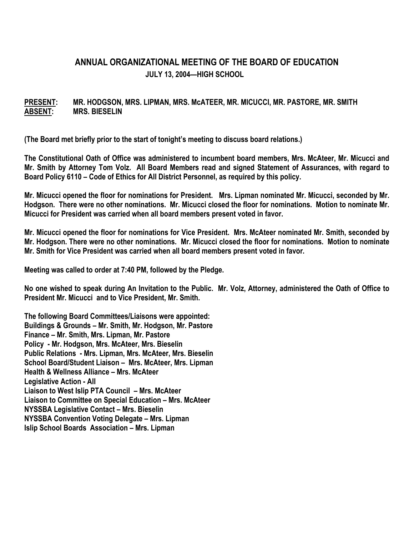## **ANNUAL ORGANIZATIONAL MEETING OF THE BOARD OF EDUCATION JULY 13, 2004—HIGH SCHOOL**

## **PRESENT: MR. HODGSON, MRS. LIPMAN, MRS. McATEER, MR. MICUCCI, MR. PASTORE, MR. SMITH ABSENT: MRS. BIESELIN**

**(The Board met briefly prior to the start of tonight's meeting to discuss board relations.)** 

**The Constitutional Oath of Office was administered to incumbent board members, Mrs. McAteer, Mr. Micucci and Mr. Smith by Attorney Tom Volz. All Board Members read and signed Statement of Assurances, with regard to Board Policy 6110 – Code of Ethics for All District Personnel, as required by this policy.** 

**Mr. Micucci opened the floor for nominations for President. Mrs. Lipman nominated Mr. Micucci, seconded by Mr. Hodgson. There were no other nominations. Mr. Micucci closed the floor for nominations. Motion to nominate Mr. Micucci for President was carried when all board members present voted in favor.** 

**Mr. Micucci opened the floor for nominations for Vice President. Mrs. McAteer nominated Mr. Smith, seconded by Mr. Hodgson. There were no other nominations. Mr. Micucci closed the floor for nominations. Motion to nominate Mr. Smith for Vice President was carried when all board members present voted in favor.** 

**Meeting was called to order at 7:40 PM, followed by the Pledge.** 

**No one wished to speak during An Invitation to the Public. Mr. Volz, Attorney, administered the Oath of Office to President Mr. Micucci and to Vice President, Mr. Smith.** 

**The following Board Committees/Liaisons were appointed: Buildings & Grounds – Mr. Smith, Mr. Hodgson, Mr. Pastore Finance – Mr. Smith, Mrs. Lipman, Mr. Pastore Policy - Mr. Hodgson, Mrs. McAteer, Mrs. Bieselin Public Relations - Mrs. Lipman, Mrs. McAteer, Mrs. Bieselin School Board/Student Liaison – Mrs. McAteer, Mrs. Lipman Health & Wellness Alliance – Mrs. McAteer Legislative Action - All Liaison to West Islip PTA Council – Mrs. McAteer Liaison to Committee on Special Education – Mrs. McAteer NYSSBA Legislative Contact – Mrs. Bieselin NYSSBA Convention Voting Delegate – Mrs. Lipman Islip School Boards Association – Mrs. Lipman**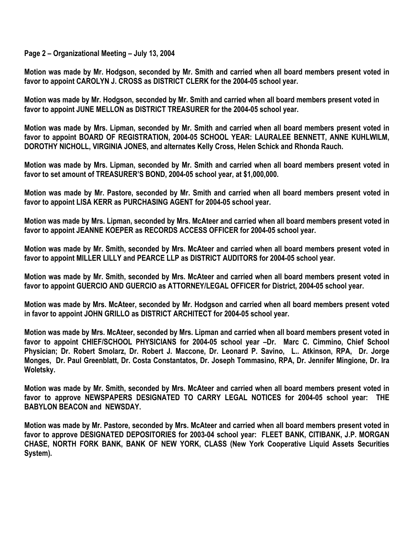**Page 2 – Organizational Meeting – July 13, 2004** 

**Motion was made by Mr. Hodgson, seconded by Mr. Smith and carried when all board members present voted in favor to appoint CAROLYN J. CROSS as DISTRICT CLERK for the 2004-05 school year.** 

**Motion was made by Mr. Hodgson, seconded by Mr. Smith and carried when all board members present voted in favor to appoint JUNE MELLON as DISTRICT TREASURER for the 2004-05 school year.** 

**Motion was made by Mrs. Lipman, seconded by Mr. Smith and carried when all board members present voted in favor to appoint BOARD OF REGISTRATION, 2004-05 SCHOOL YEAR: LAURALEE BENNETT, ANNE KUHLWILM, DOROTHY NICHOLL, VIRGINIA JONES, and alternates Kelly Cross, Helen Schick and Rhonda Rauch.** 

**Motion was made by Mrs. Lipman, seconded by Mr. Smith and carried when all board members present voted in favor to set amount of TREASURER'S BOND, 2004-05 school year, at \$1,000,000.** 

**Motion was made by Mr. Pastore, seconded by Mr. Smith and carried when all board members present voted in favor to appoint LISA KERR as PURCHASING AGENT for 2004-05 school year.** 

**Motion was made by Mrs. Lipman, seconded by Mrs. McAteer and carried when all board members present voted in favor to appoint JEANNE KOEPER as RECORDS ACCESS OFFICER for 2004-05 school year.** 

**Motion was made by Mr. Smith, seconded by Mrs. McAteer and carried when all board members present voted in favor to appoint MILLER LILLY and PEARCE LLP as DISTRICT AUDITORS for 2004-05 school year.** 

**Motion was made by Mr. Smith, seconded by Mrs. McAteer and carried when all board members present voted in favor to appoint GUERCIO AND GUERCIO as ATTORNEY/LEGAL OFFICER for District, 2004-05 school year.** 

**Motion was made by Mrs. McAteer, seconded by Mr. Hodgson and carried when all board members present voted in favor to appoint JOHN GRILLO as DISTRICT ARCHITECT for 2004-05 school year.** 

**Motion was made by Mrs. McAteer, seconded by Mrs. Lipman and carried when all board members present voted in favor to appoint CHIEF/SCHOOL PHYSICIANS for 2004-05 school year –Dr. Marc C. Cimmino, Chief School Physician; Dr. Robert Smolarz, Dr. Robert J. Maccone, Dr. Leonard P. Savino, L.. Atkinson, RPA, Dr. Jorge Monges, Dr. Paul Greenblatt, Dr. Costa Constantatos, Dr. Joseph Tommasino, RPA, Dr. Jennifer Mingione, Dr. Ira Woletsky.** 

**Motion was made by Mr. Smith, seconded by Mrs. McAteer and carried when all board members present voted in favor to approve NEWSPAPERS DESIGNATED TO CARRY LEGAL NOTICES for 2004-05 school year: THE BABYLON BEACON and NEWSDAY.** 

**Motion was made by Mr. Pastore, seconded by Mrs. McAteer and carried when all board members present voted in favor to approve DESIGNATED DEPOSITORIES for 2003-04 school year: FLEET BANK, CITIBANK, J.P. MORGAN CHASE, NORTH FORK BANK, BANK OF NEW YORK, CLASS (New York Cooperative Liquid Assets Securities System).**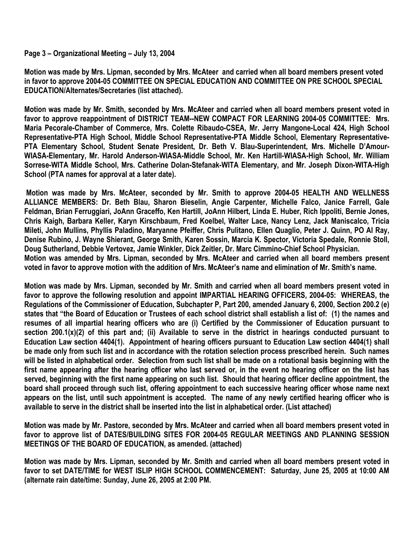## **Page 3 – Organizational Meeting – July 13, 2004**

**Motion was made by Mrs. Lipman, seconded by Mrs. McAteer and carried when all board members present voted in favor to approve 2004-05 COMMITTEE ON SPECIAL EDUCATION AND COMMITTEE ON PRE SCHOOL SPECIAL EDUCATION/Alternates/Secretaries (list attached).** 

**Motion was made by Mr. Smith, seconded by Mrs. McAteer and carried when all board members present voted in favor to approve reappointment of DISTRICT TEAM--NEW COMPACT FOR LEARNING 2004-05 COMMITTEE: Mrs. Maria Pecorale-Chamber of Commerce, Mrs. Colette Ribaudo-CSEA, Mr. Jerry Mangone-Local 424, High School Representative-PTA High School, Middle School Representative-PTA Middle School, Elementary Representative-PTA Elementary School, Student Senate President, Dr. Beth V. Blau-Superintendent, Mrs. Michelle D'Amour-WIASA-Elementary, Mr. Harold Anderson-WIASA-Middle School, Mr. Ken Hartill-WIASA-High School, Mr. William Sorrese-WITA Middle School, Mrs. Catherine Dolan-Stefanak-WITA Elementary, and Mr. Joseph Dixon-WITA-High School (PTA names for approval at a later date).** 

 **Motion was made by Mrs. McAteer, seconded by Mr. Smith to approve 2004-05 HEALTH AND WELLNESS ALLIANCE MEMBERS: Dr. Beth Blau, Sharon Bieselin, Angie Carpenter, Michelle Falco, Janice Farrell, Gale Feldman, Brian Ferruggiari, JoAnn Graceffo, Ken Hartill, JoAnn Hilbert, Linda E. Huber, Rich Ippoliti, Bernie Jones, Chris Kaigh, Barbara Keller, Karyn Kirschbaum, Fred Koelbel, Walter Lace, Nancy Lenz, Jack Maniscalco, Tricia Mileti, John Mullins, Phyllis Paladino, Maryanne Pfeiffer, Chris Pulitano, Ellen Quaglio, Peter J. Quinn, PO Al Ray, Denise Rubino, J. Wayne Shierant, George Smith, Karen Sossin, Marcia K. Spector, Victoria Spedale, Ronnie Stoll, Doug Sutherland, Debbie Vertovez, Jamie Winkler, Dick Zeitler, Dr. Marc Cimmino-Chief School Physician. Motion was amended by Mrs. Lipman, seconded by Mrs. McAteer and carried when all board members present voted in favor to approve motion with the addition of Mrs. McAteer's name and elimination of Mr. Smith's name.** 

**Motion was made by Mrs. Lipman, seconded by Mr. Smith and carried when all board members present voted in favor to approve the following resolution and appoint IMPARTIAL HEARING OFFICERS, 2004-05: WHEREAS, the Regulations of the Commissioner of Education, Subchapter P, Part 200, amended January 6, 2000, Section 200.2 (e) states that "the Board of Education or Trustees of each school district shall establish a list of: (1) the names and resumes of all impartial hearing officers who are (i) Certified by the Commissioner of Education pursuant to section 200.1(x)(2) of this part and; (ii) Available to serve in the district in hearings conducted pursuant to Education Law section 4404(1). Appointment of hearing officers pursuant to Education Law section 4404(1) shall be made only from such list and in accordance with the rotation selection process prescribed herein. Such names will be listed in alphabetical order. Selection from such list shall be made on a rotational basis beginning with the first name appearing after the hearing officer who last served or, in the event no hearing officer on the list has served, beginning with the first name appearing on such list. Should that hearing officer decline appointment, the board shall proceed through such list, offering appointment to each successive hearing officer whose name next appears on the list, until such appointment is accepted. The name of any newly certified hearing officer who is available to serve in the district shall be inserted into the list in alphabetical order. (List attached)** 

**Motion was made by Mr. Pastore, seconded by Mrs. McAteer and carried when all board members present voted in favor to approve list of DATES/BUILDING SITES FOR 2004-05 REGULAR MEETINGS AND PLANNING SESSION MEETINGS OF THE BOARD OF EDUCATION, as amended. (attached)** 

**Motion was made by Mrs. Lipman, seconded by Mr. Smith and carried when all board members present voted in favor to set DATE/TIME for WEST ISLIP HIGH SCHOOL COMMENCEMENT: Saturday, June 25, 2005 at 10:00 AM (alternate rain date/time: Sunday, June 26, 2005 at 2:00 PM.**